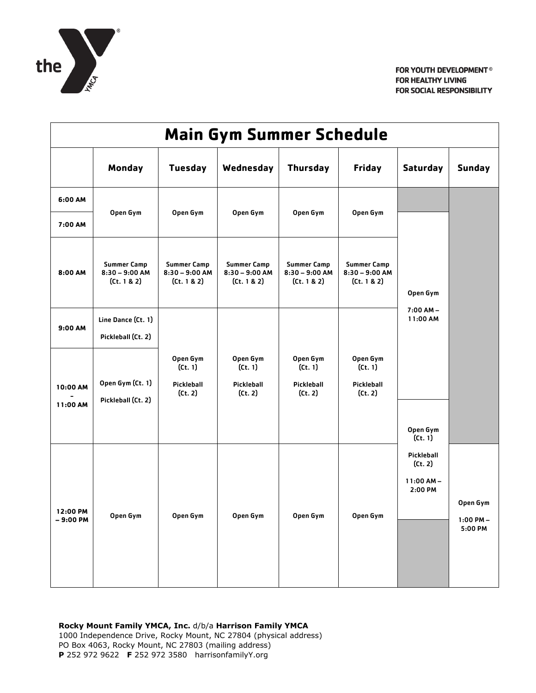

| <b>Main Gym Summer Schedule</b> |                                                       |                                                       |                                                       |                                                       |                                                       |                                                            |                                      |  |  |  |  |
|---------------------------------|-------------------------------------------------------|-------------------------------------------------------|-------------------------------------------------------|-------------------------------------------------------|-------------------------------------------------------|------------------------------------------------------------|--------------------------------------|--|--|--|--|
|                                 | Monday                                                | <b>Tuesday</b>                                        | Wednesday                                             | <b>Thursday</b>                                       | <b>Friday</b>                                         | <b>Saturday</b>                                            | <b>Sunday</b>                        |  |  |  |  |
| 6:00 AM                         |                                                       |                                                       |                                                       |                                                       |                                                       |                                                            |                                      |  |  |  |  |
| 7:00 AM                         | Open Gym                                              | Open Gym                                              | Open Gym                                              | Open Gym                                              | Open Gym                                              |                                                            |                                      |  |  |  |  |
| 8:00 AM                         | <b>Summer Camp</b><br>$8:30 - 9:00$ AM<br>(Ct. 1 & 2) | <b>Summer Camp</b><br>$8:30 - 9:00$ AM<br>(Ct. 1 & 2) | <b>Summer Camp</b><br>$8:30 - 9:00$ AM<br>(Ct. 1 & 2) | <b>Summer Camp</b><br>$8:30 - 9:00$ AM<br>(Ct. 1 & 2) | <b>Summer Camp</b><br>$8:30 - 9:00$ AM<br>(Ct. 1 & 2) | Open Gym<br>$7:00 AM -$<br>11:00 AM<br>Open Gym            |                                      |  |  |  |  |
| 9:00 AM                         | Line Dance (Ct. 1)<br>Pickleball (Ct. 2)              |                                                       |                                                       |                                                       |                                                       |                                                            |                                      |  |  |  |  |
| 10:00 AM<br>11:00 AM            | Open Gym (Ct. 1)<br>Pickleball (Ct. 2)                | Open Gym<br>(Ct. 1)<br>Pickleball<br>(Ct. 2)          | Open Gym<br>(Ct. 1)<br>Pickleball<br>(Ct. 2)          | Open Gym<br>(Ct. 1)<br>Pickleball<br>(Ct. 2)          | Open Gym<br>(Ct. 1)<br>Pickleball<br>(Ct. 2)          |                                                            |                                      |  |  |  |  |
| 12:00 PM<br>- 9:00 PM           | Open Gym                                              | Open Gym                                              | Open Gym                                              | Open Gym                                              | Open Gym                                              | (Ct. 1)<br>Pickleball<br>(Ct. 2)<br>$11:00AM -$<br>2:00 PM | Open Gym<br>$1:00$ PM $-$<br>5:00 PM |  |  |  |  |